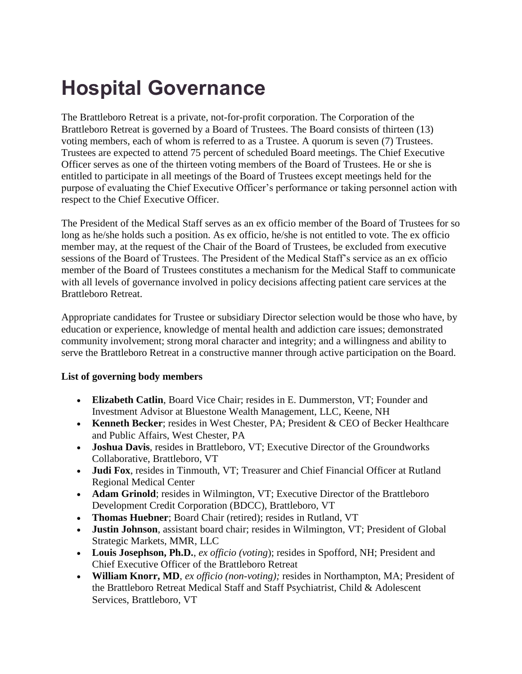## **Hospital Governance**

The Brattleboro Retreat is a private, not-for-profit corporation. The Corporation of the Brattleboro Retreat is governed by a Board of Trustees. The Board consists of thirteen (13) voting members, each of whom is referred to as a Trustee. A quorum is seven (7) Trustees. Trustees are expected to attend 75 percent of scheduled Board meetings. The Chief Executive Officer serves as one of the thirteen voting members of the Board of Trustees. He or she is entitled to participate in all meetings of the Board of Trustees except meetings held for the purpose of evaluating the Chief Executive Officer's performance or taking personnel action with respect to the Chief Executive Officer.

The President of the Medical Staff serves as an ex officio member of the Board of Trustees for so long as he/she holds such a position. As ex officio, he/she is not entitled to vote. The ex officio member may, at the request of the Chair of the Board of Trustees, be excluded from executive sessions of the Board of Trustees. The President of the Medical Staff's service as an ex officio member of the Board of Trustees constitutes a mechanism for the Medical Staff to communicate with all levels of governance involved in policy decisions affecting patient care services at the Brattleboro Retreat.

Appropriate candidates for Trustee or subsidiary Director selection would be those who have, by education or experience, knowledge of mental health and addiction care issues; demonstrated community involvement; strong moral character and integrity; and a willingness and ability to serve the Brattleboro Retreat in a constructive manner through active participation on the Board.

## **List of governing body members**

- **Elizabeth Catlin**, Board Vice Chair; resides in E. Dummerston, VT; Founder and Investment Advisor at Bluestone Wealth Management, LLC, Keene, NH
- **Kenneth Becker**; resides in West Chester, PA; President & CEO of Becker Healthcare and Public Affairs, West Chester, PA
- **Joshua Davis**, resides in Brattleboro, VT; Executive Director of the Groundworks Collaborative, Brattleboro, VT
- **Judi Fox**, resides in Tinmouth, VT; Treasurer and Chief Financial Officer at Rutland Regional Medical Center
- **Adam Grinold**; resides in Wilmington, VT; Executive Director of the Brattleboro Development Credit Corporation (BDCC), Brattleboro, VT
- **Thomas Huebner**; Board Chair (retired); resides in Rutland, VT
- **Justin Johnson**, assistant board chair; resides in Wilmington, VT; President of Global Strategic Markets, MMR, LLC
- **Louis Josephson, Ph.D.**, *ex officio (voting*); resides in Spofford, NH; President and Chief Executive Officer of the Brattleboro Retreat
- **William Knorr, MD**, *ex officio (non-voting);* resides in Northampton, MA; President of the Brattleboro Retreat Medical Staff and Staff Psychiatrist, Child & Adolescent Services, Brattleboro, VT